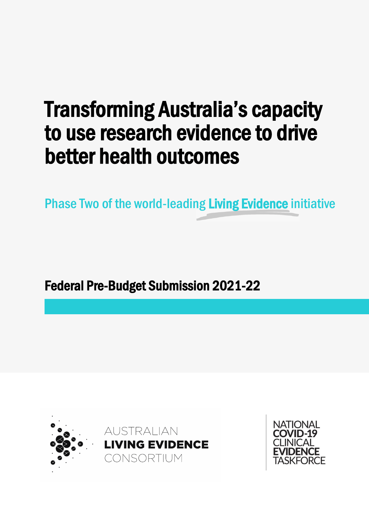# Transforming Australia's capacity to use research evidence to drive better health outcomes

Phase Two of the world-leading Living Evidence initiative

Federal Pre-Budget Submission 2021-22



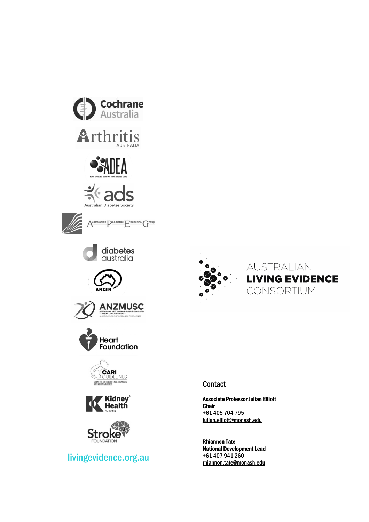





#### **Contact**

Associate Professor Julian Elliott Chair +61 405 704 795 [julian.elliott@monash.edu](mailto:julian.elliott@monash.edu)

Rhiannon Tate National Development Lead +61 407 941 260 [rhiannon.tate@monash.edu](mailto:rhiannon.tate@monash.edu)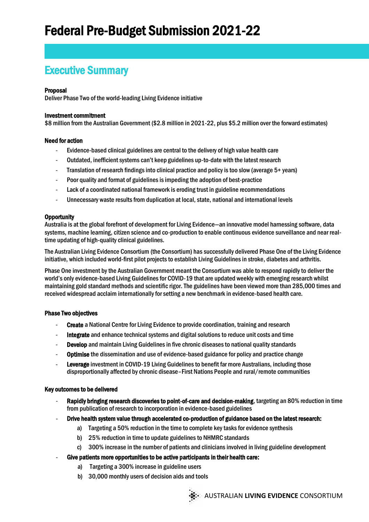### Executive Summary

#### Proposal

Deliver Phase Two of the world-leading Living Evidence initiative

#### Investment commitment

\$8 million from the Australian Government (\$2.8 million in 2021-22, plus \$5.2 million over the forward estimates)

#### Need for action

- Evidence-based clinical guidelines are central to the delivery of high value health care
- Outdated, inefficient systems can't keep guidelines up-to-date with the latest research
- Translation of research findings into clinical practice and policy is too slow (average 5+ years)
- Poor quality and format of guidelines is impeding the adoption of best-practice
- Lack of a coordinated national framework is eroding trust in guideline recommendations
- Unnecessary waste results from duplication at local, state, national and international levels

#### **Opportunity**

Australia is at the global forefront of development for Living Evidence—an innovative model harnessing software, data systems, machine learning, citizen science and co-production to enable continuous evidence surveillance and near realtime updating of high-quality clinical guidelines.

The Australian Living Evidence Consortium (the Consortium) has successfully delivered Phase One of the Living Evidence initiative, which included world-first pilot projects to establish Living Guidelines in stroke, diabetes and arthritis.

Phase One investment by the Australian Government meant the Consortium was able to respond rapidly to deliver the world's only evidence-based Living Guidelines for COVID-19 that are updated weekly with emerging research whilst maintaining gold standard methods and scientific rigor. The guidelines have been viewed more than 285,000 times and received widespread acclaim internationally for setting a new benchmark in evidence-based health care.

#### Phase Two objectives

- **Create** a National Centre for Living Evidence to provide coordination, training and research
- Integrate and enhance technical systems and digital solutions to reduce unit costs and time
- **Develop** and maintain Living Guidelines in five chronic diseases to national quality standards
- Optimise the dissemination and use of evidence-based guidance for policy and practice change
- Leverage investment in COVID-19 Living Guidelines to benefit far more Australians, including those disproportionally affected by chronic disease–First Nations People and rural/remote communities

#### Key outcomes to be delivered

- Rapidly bringing research discoveries to point-of-care and decision-making, targeting an 80% reduction in time from publication of research to incorporation in evidence-based guidelines
- Drive health system value through accelerated co-production of guidance based on the latest research:
	- a) Targeting a 50% reduction in the time to complete key tasks for evidence synthesis
	- b) 25% reduction in time to update guidelines to NHMRC standards
	- c) 300% increase in the number of patients and clinicians involved in living guideline development
- Give patients more opportunities to be active participants in their health care:
	- a) Targeting a 300% increase in guideline users
	- b) 30,000 monthly users of decision aids and tools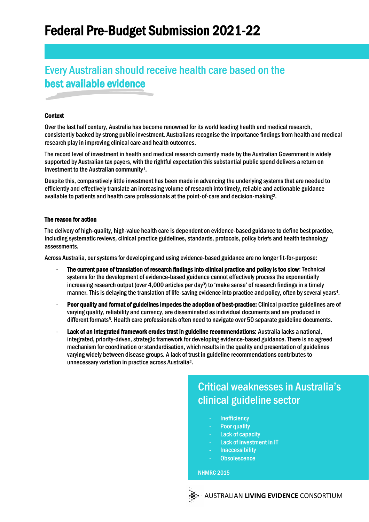# Every Australian should receive health care based on the best available evidence

#### **Context**

Over the last half century, Australia has become renowned for its world leading health and medical research, consistently backed by strong public investment. Australians recognise the importance findings from health and medical research play in improving clinical care and health outcomes.

The record level of investment in health and medical research currently made by the Australian Government is widely supported by Australian tax payers, with the rightful expectation this substantial public spend delivers a return on investment to the Australian community1.

Despite this, comparatively little investment has been made in advancing the underlying systems that are needed to efficiently and effectively translate an increasing volume of research into timely, reliable and actionable guidance available to patients and health care professionals at the point-of-care and decision-making2.

#### The reason for action

The delivery of high-quality, high-value health care is dependent on evidence-based guidance to define best practice, including systematic reviews, clinical practice guidelines, standards, protocols, policy briefs and health technology assessments.

Across Australia, our systems for developing and using evidence-based guidance are no longer fit-for-purpose:

- The current pace of translation of research findings into clinical practice and policy is too slow: Technical systems for the development of evidence-based guidance cannot effectively process the exponentially increasing research output (over 4,000 articles per day3) to 'make sense' of research findings in a timely manner. This is delaying the translation of life-saving evidence into practice and policy, often by several years4.
- Poor quality and format of guidelines impedes the adoption of best-practice: Clinical practice guidelines are of varying quality, reliability and currency, are disseminated as individual documents and are produced in different formats5. Health care professionals often need to navigate over 50 separate guideline documents.
- Lack of an integrated framework erodes trust in guideline recommendations: Australia lacks a national, integrated, priority-driven, strategic framework for developing evidence-based guidance. There is no agreed mechanism for coordination or standardisation, which results in the quality and presentation of guidelines varying widely between disease groups. A lack of trust in guideline recommendations contributes to unnecessary variation in practice across Australia2.

### Critical weaknesses in Australia's clinical guideline sector

- Inefficiency
- Poor quality
- Lack of capacity
- Lack of investment in IT
- Inaccessibility
- Obsolescence

**NHMRC 2015** 

AUSTRALIAN **LIVING EVIDENCE** CONSORTIUM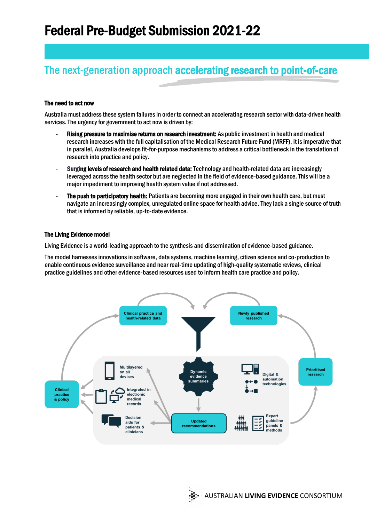# The next-generation approach accelerating research to point-of-care

#### The need to act now

Australia must address these system failures in order to connect an accelerating research sector with data-driven health services. The urgency for government to act now is driven by:

- Rising pressure to maximise returns on research investment: As public investment in health and medical research increases with the full capitalisation of the Medical Research Future Fund (MRFF), it is imperative that in parallel, Australia develops fit-for-purpose mechanisms to address a critical bottleneck in the translation of research into practice and policy.
- Surging levels of research and health related data: Technology and health-related data are increasingly leveraged across the health sector but are neglected in the field of evidence-based guidance. This will be a major impediment to improving health system value if not addressed.
- The push to participatory health: Patients are becoming more engaged in their own health care, but must navigate an increasingly complex, unregulated online space for health advice. They lack a single source of truth that is informed by reliable, up-to-date evidence.

#### The Living Evidence model

Living Evidence is a world-leading approach to the synthesis and dissemination of evidence-based guidance.

The model harnesses innovations in software, data systems, machine learning, citizen science and co-production to enable continuous evidence surveillance and near real-time updating of high-quality systematic reviews, clinical practice guidelines and other evidence-based resources used to inform health care practice and policy.

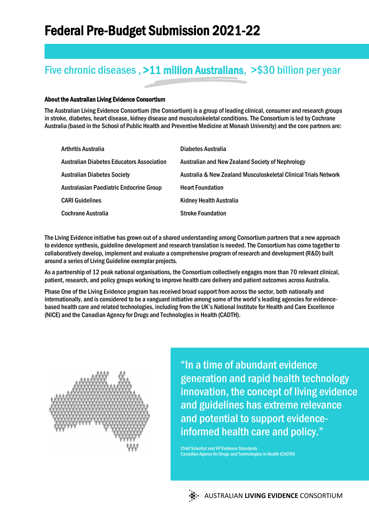## Five chronic diseases , >11 million Australians, >\$30 billion per year

#### About the Australian Living Evidence Consortium

The Australian Living Evidence Consortium (the Consortium) is a group of leading clinical, consumer and research groups in stroke, diabetes, heart disease, kidney disease and musculoskeletal conditions. The Consortium is led by Cochrane Australia (based in the School of Public Health and Preventive Medicine at Monash University) and the core partners are:

| Arthritis Australia                       | Diabetes Australia                                              |
|-------------------------------------------|-----------------------------------------------------------------|
| Australian Diabetes Educators Association | <b>Australian and New Zealand Society of Nephrology</b>         |
| <b>Australian Diabetes Society</b>        | Australia & New Zealand Musculoskeletal Clinical Trials Network |
| Australasian Paediatric Endocrine Group   | <b>Heart Foundation</b>                                         |
| <b>CARI Guidelines</b>                    | Kidney Health Australia                                         |
| Cochrane Australia                        | <b>Stroke Foundation</b>                                        |

The Living Evidence initiative has grown out of a shared understanding among Consortium partners that a new approach to evidence synthesis, guideline development and research translation is needed. The Consortium has come together to collaboratively develop, implement and evaluate a comprehensive program of research and development (R&D) built around a series of Living Guideline exemplar projects.

As a partnership of 12 peak national organisations, the Consortium collectively engages more than 70 relevant clinical, patient, research, and policy groups working to improve health care delivery and patient outcomes across Australia.

Phase One of the Living Evidence program has received broad support from across the sector, both nationally and internationally, and is considered to be a vanguard initiative among some of the world's leading agencies for evidencebased health care and related technologies, including from the UK's National Institute for Health and Care Excellence (NICE) and the Canadian Agency for Drugs and Technologies in Health (CADTH).



"In a time of abundant evidence generation and rapid health technology innovation, the concept of living evidence and guidelines has extreme relevance and potential to support evidenceinformed health care and policy."

Chief Scientist and VP Evidence Standards Canadian Agency for Drugs and Technologies in Health (CADTH)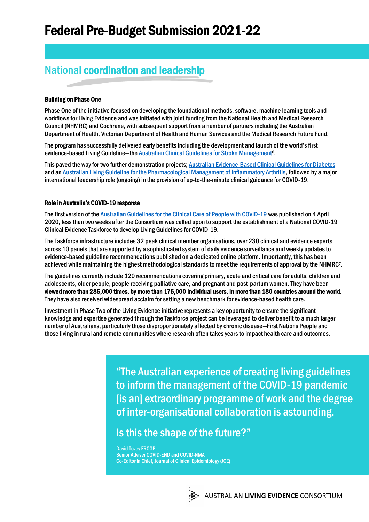## National coordination and leadership

#### Building on Phase One

Phase One of the initiative focused on developing the foundational methods, software, machine learning tools and workflows for Living Evidence and was initiated with joint funding from the National Health and Medical Research Council (NHMRC) and Cochrane, with subsequent support from a number of partners including the Australian Department of Health, Victorian Department of Health and Human Services and the Medical Research Future Fund.

The program has successfully delivered early benefits including the development and launch of the world's first evidence-based Living Guideline—the Australian Clinical Guidelines for Stroke Management<sup>6</sup>.

This paved the way for two further demonstration projects[; Australian Evidence-Based Clinical Guidelines for Diabetes](https://app.magicapp.org/#/guideline/E5AbPE) and a[n Australian Living Guideline for the Pharmacological Management of Inflammatory Arthritis,](https://app.magicapp.org/#/guideline/LqRV3n) followed by a major international leadership role (ongoing) in the provision of up-to-the-minute clinical guidance for COVID-19.

#### Role in Australia's COVID-19 response

The first version of the Australian [Guidelines for the Clinical Care of People with COVID-19](https://covid19evidence.net.au/) was published on 4 April 2020, less than two weeks after the Consortium was called upon to support the establishment of a National COVID-19 Clinical Evidence Taskforce to develop Living Guidelines for COVID-19.

The Taskforce infrastructure includes 32 peak clinical member organisations, over 230 clinical and evidence experts across 10 panels that are supported by a sophisticated system of daily evidence surveillance and weekly updates to evidence-based guideline recommendations published on a dedicated online platform. Importantly, this has been achieved while maintaining the highest methodological standards to meet the requirements of approval by the NHMRC7.

The guidelines currently include 120 recommendations covering primary, acute and critical care for adults, children and adolescents, older people, people receiving palliative care, and pregnant and post-partum women. They have been viewed more than 285,000 times, by more than 175,000 individual users, in more than 180 countries around the world. They have also received widespread acclaim for setting a new benchmark for evidence-based health care.

Investment in Phase Two of the Living Evidence initiative represents a key opportunity to ensure the significant knowledge and expertise generated through the Taskforce project can be leveraged to deliver benefit to a much larger number of Australians, particularly those disproportionately affected by chronic disease—First Nations People and those living in rural and remote communities where research often takes years to impact health care and outcomes.

> "The Australian experience of creating living guidelines to inform the management of the COVID-19 pandemic [is an] extraordinary programme of work and the degree of inter-organisational collaboration is astounding.

### Is this the shape of the future?"

David Tovey FRCGP Senior Adviser COVID-END and COVID-NMA Co-Editor in Chief, Journal of Clinical Epidemiology (JCE)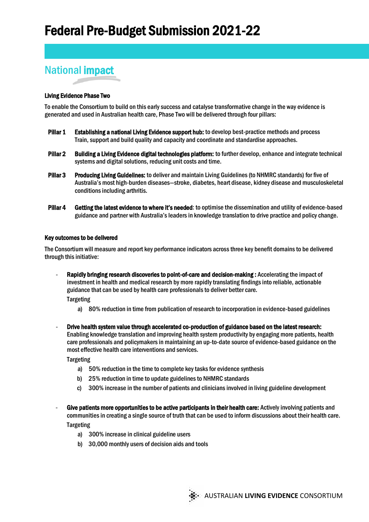# National impact

#### Living Evidence Phase Two

To enable the Consortium to build on this early success and catalyse transformative change in the way evidence is generated and used in Australian health care, Phase Two will be delivered through four pillars:

- Pillar 1 Establishing a national Living Evidence support hub: to develop best-practice methods and process Train, support and build quality and capacity and coordinate and standardise approaches.
- Pillar 2 Building a Living Evidence digital technologies platform: to further develop, enhance and integrate technical systems and digital solutions, reducing unit costs and time.
- Pillar 3 Producing Living Guidelines: to deliver and maintain Living Guidelines (to NHMRC standards) for five of Australia's most high-burden diseases—stroke, diabetes, heart disease, kidney disease and musculoskeletal conditions including arthritis.
- Pillar 4 Getting the latest evidence to where it's needed: to optimise the dissemination and utility of evidence-based guidance and partner with Australia's leaders in knowledge translation to drive practice and policy change.

#### Key outcomes to be delivered

The Consortium will measure and report key performance indicators across three key benefit domains to be delivered through this initiative:

- Rapidly bringing research discoveries to point-of-care and decision-making : Accelerating the impact of investment in health and medical research by more rapidly translating findings into reliable, actionable guidance that can be used by health care professionals to deliver better care.

**Targeting** 

- a) 80% reduction in time from publication of research to incorporation in evidence-based guidelines
- Drive health system value through accelerated co-production of guidance based on the latest research: Enabling knowledge translation and improving health system productivity by engaging more patients, health care professionals and policymakers in maintaining an up-to-date source of evidence-based guidance on the most effective health care interventions and services.

Targeting

- a) 50% reduction in the time to complete key tasks for evidence synthesis
- b) 25% reduction in time to update guidelines to NHMRC standards
- c) 300% increase in the number of patients and clinicians involved in living guideline development
- Give patients more opportunities to be active participants in their health care: Actively involving patients and communities in creating a single source of truth that can be used to inform discussions about their health care. **Targeting** 
	- a) 300% increase in clinical guideline users
	- b) 30,000 monthly users of decision aids and tools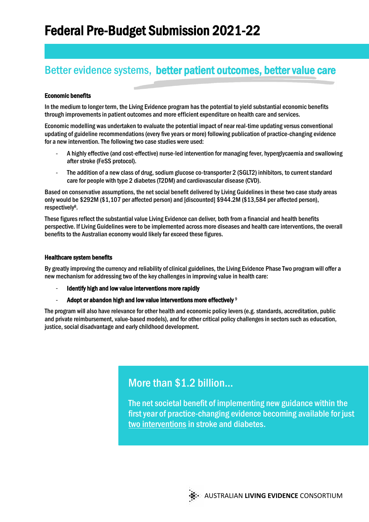## Better evidence systems, better patient outcomes, better value care

#### Economic benefits

In the medium to longer term, the Living Evidence program has the potential to yield substantial economic benefits through improvements in patient outcomes and more efficient expenditure on health care and services.

Economic modelling was undertaken to evaluate the potential impact of near real-time updating versus conventional updating of guideline recommendations (every five years or more) following publication of practice-changing evidence for a new intervention. The following two case studies were used:

- A highly effective (and cost-effective) nurse-led intervention for managing fever, hyperglycaemia and swallowing after stroke (FeSS protocol).
- The addition of a new class of drug, sodium glucose co-transporter 2 (SGLT2) inhibitors, to current standard care for people with type 2 diabetes (T2DM) and cardiovascular disease (CVD).

Based on conservative assumptions, the net social benefit delivered by Living Guidelines in these two case study areas only would be \$292M (\$1,107 per affected person) and [discounted] \$944.2M (\$13,584 per affected person), respectively8.

These figures reflect the substantial value Living Evidence can deliver, both from a financial and health benefits perspective. If Living Guidelines were to be implemented across more diseases and health care interventions, the overall benefits to the Australian economy would likely far exceed these figures.

#### Healthcare system benefits

By greatly improving the currency and reliability of clinical guidelines, the Living Evidence Phase Two program will offer a new mechanism for addressing two of the key challenges in improving value in health care:

- Identify high and low value interventions more rapidly
- Adopt or abandon high and low value interventions more effectively  $9$

The program will also have relevance for other health and economic policy levers (e.g. standards, accreditation, public and private reimbursement, value-based models), and for other critical policy challenges in sectors such as education, justice, social disadvantage and early childhood development.

### More than \$1.2 billion...

ļ The net societal benefit of implementing new guidance within the first year of practice-changing evidence becoming available for just two interventions in stroke and diabetes.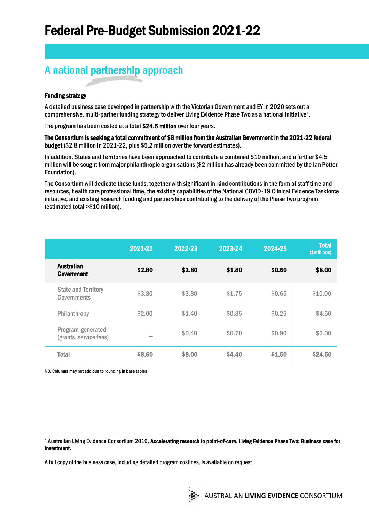# A national partnership approach

#### Funding strategy

A detailed business case developed in partnership with the Victorian Government and EY in 2020 sets out a comprehensive, multi-partner funding strategy to deliver Living Evidence Phase Two as a national initiative\*.

The program has been costed at a total \$24.5 million over four years.

The Consortium is seeking a total commitment of \$8 million from the Australian Government in the 2021-22 federal budget (\$2.8 million in 2021-22, plus \$5.2 million over the forward estimates).

In addition, States and Territories have been approached to contribute a combined \$10 million, and a further \$4.5 million will be sought from major philanthropic organisations (\$2 million has already been committed by the Ian Potter Foundation).

The Consortium will dedicate these funds, together with significant in-kind contributions in the form of staff time and resources, health care professional time, the existing capabilities of the National COVID-19 Clinical Evidence Taskforce initiative, and existing research funding and partnerships contributing to the delivery of the Phase Two program (estimated total >\$10 million).

|                                             | 2021-22 | 2022-23 | 2023-24 | 2024-25 | Total<br>(\$millions) |
|---------------------------------------------|---------|---------|---------|---------|-----------------------|
| <b>Australian</b><br>Government             | \$2.80  | \$2.80  | \$1.80  | \$0.60  | \$8.00                |
| <b>State and Territory</b><br>Governments   | \$3,80  | \$3.80  | \$1.75  | \$0.65  | \$10.00               |
| Philanthropy                                | \$2.00  | \$1.40  | \$0.85  | \$0.25  | \$4.50                |
| Program-generated<br>(grants, service fees) | -       | \$0.40  | \$0.70  | \$0.90  | \$2.00                |
| <b>Total</b>                                | \$8,60  | \$8,00  | \$4.40  | \$1.50  | \$24.50               |

NB. Columns may not add due to rounding in base tables

<sup>\*</sup> Australian Living Evidence Consortium 2019, Accelerating research to point-of-care. Living Evidence Phase Two: Business case for investment.

A full copy of the business case, including detailed program costings, is available on request